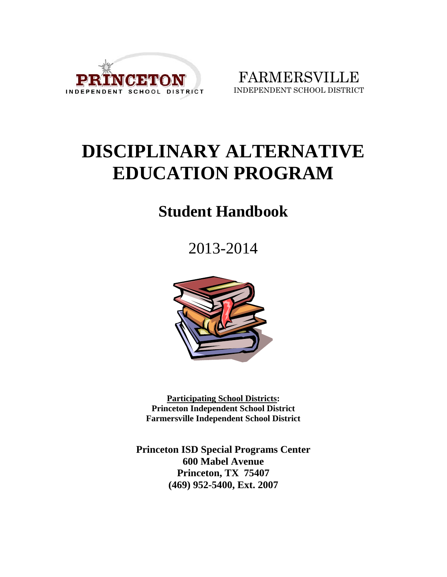

FARMERSVILLE INDEPENDENT SCHOOL DISTRICT

# **DISCIPLINARY ALTERNATIVE EDUCATION PROGRAM**

# **Student Handbook**

2013-2014



**Participating School Districts: Princeton Independent School District Farmersville Independent School District** 

**Princeton ISD Special Programs Center 600 Mabel Avenue Princeton, TX 75407 (469) 952-5400, Ext. 2007**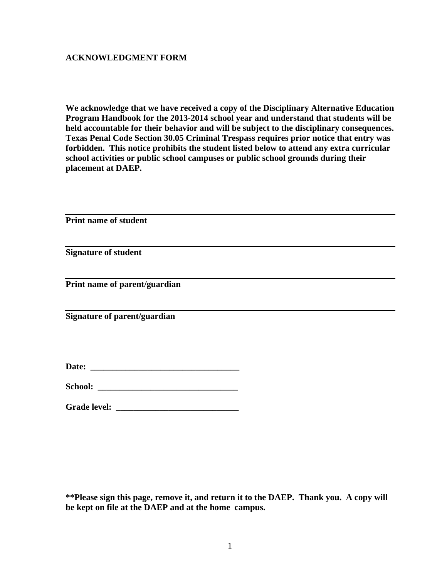#### **ACKNOWLEDGMENT FORM**

**We acknowledge that we have received a copy of the Disciplinary Alternative Education Program Handbook for the 2013-2014 school year and understand that students will be held accountable for their behavior and will be subject to the disciplinary consequences. Texas Penal Code Section 30.05 Criminal Trespass requires prior notice that entry was forbidden. This notice prohibits the student listed below to attend any extra curricular school activities or public school campuses or public school grounds during their placement at DAEP.** 

**Print name of student** 

**Signature of student** 

**Print name of parent/guardian** 

**Signature of parent/guardian** 

Date:

**School: \_\_\_\_\_\_\_\_\_\_\_\_\_\_\_\_\_\_\_\_\_\_\_\_\_\_\_\_\_\_\_\_** 

Grade level:

**\*\*Please sign this page, remove it, and return it to the DAEP. Thank you. A copy will be kept on file at the DAEP and at the home campus.**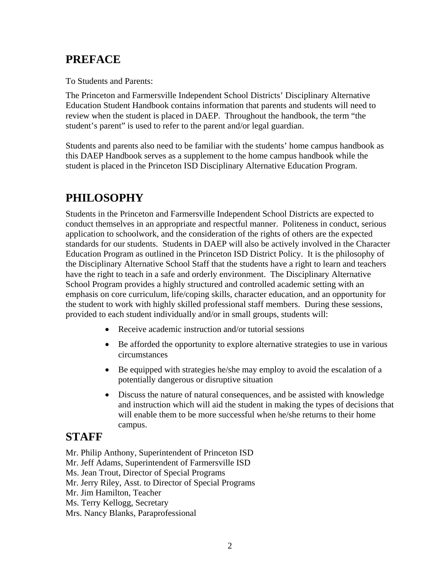# **PREFACE**

To Students and Parents:

The Princeton and Farmersville Independent School Districts' Disciplinary Alternative Education Student Handbook contains information that parents and students will need to review when the student is placed in DAEP. Throughout the handbook, the term "the student's parent" is used to refer to the parent and/or legal guardian.

Students and parents also need to be familiar with the students' home campus handbook as this DAEP Handbook serves as a supplement to the home campus handbook while the student is placed in the Princeton ISD Disciplinary Alternative Education Program.

# **PHILOSOPHY**

Students in the Princeton and Farmersville Independent School Districts are expected to conduct themselves in an appropriate and respectful manner. Politeness in conduct, serious application to schoolwork, and the consideration of the rights of others are the expected standards for our students. Students in DAEP will also be actively involved in the Character Education Program as outlined in the Princeton ISD District Policy. It is the philosophy of the Disciplinary Alternative School Staff that the students have a right to learn and teachers have the right to teach in a safe and orderly environment. The Disciplinary Alternative School Program provides a highly structured and controlled academic setting with an emphasis on core curriculum, life/coping skills, character education, and an opportunity for the student to work with highly skilled professional staff members. During these sessions, provided to each student individually and/or in small groups, students will:

- Receive academic instruction and/or tutorial sessions
- Be afforded the opportunity to explore alternative strategies to use in various circumstances
- Be equipped with strategies he/she may employ to avoid the escalation of a potentially dangerous or disruptive situation
- Discuss the nature of natural consequences, and be assisted with knowledge and instruction which will aid the student in making the types of decisions that will enable them to be more successful when he/she returns to their home campus.

# **STAFF**

Mr. Philip Anthony, Superintendent of Princeton ISD

Mr. Jeff Adams, Superintendent of Farmersville ISD

Ms. Jean Trout, Director of Special Programs

Mr. Jerry Riley, Asst. to Director of Special Programs

Mr. Jim Hamilton, Teacher

Ms. Terry Kellogg, Secretary

Mrs. Nancy Blanks, Paraprofessional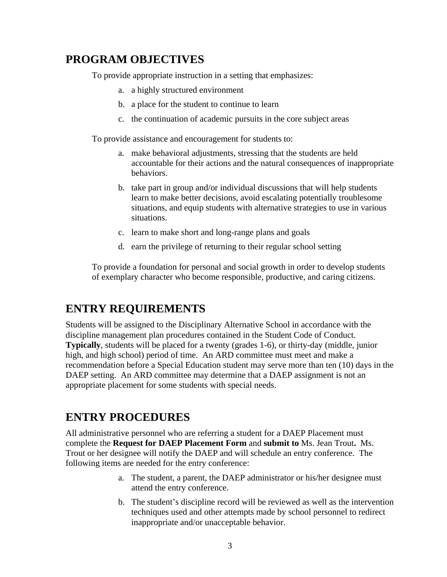### **PROGRAM OBJECTIVES**

To provide appropriate instruction in a setting that emphasizes:

- a. a highly structured environment
- b. a place for the student to continue to learn
- c. the continuation of academic pursuits in the core subject areas

To provide assistance and encouragement for students to:

- a. make behavioral adjustments, stressing that the students are held accountable for their actions and the natural consequences of inappropriate behaviors.
- b. take part in group and/or individual discussions that will help students learn to make better decisions, avoid escalating potentially troublesome situations, and equip students with alternative strategies to use in various situations.
- c. learn to make short and long-range plans and goals
- d. earn the privilege of returning to their regular school setting

To provide a foundation for personal and social growth in order to develop students of exemplary character who become responsible, productive, and caring citizens.

#### **ENTRY REQUIREMENTS**

Students will be assigned to the Disciplinary Alternative School in accordance with the discipline management plan procedures contained in the Student Code of Conduct. **Typically**, students will be placed for a twenty (grades 1-6), or thirty-day (middle, junior high, and high school) period of time. An ARD committee must meet and make a recommendation before a Special Education student may serve more than ten (10) days in the DAEP setting. An ARD committee may determine that a DAEP assignment is not an appropriate placement for some students with special needs.

#### **ENTRY PROCEDURES**

All administrative personnel who are referring a student for a DAEP Placement must complete the **Request for DAEP Placement Form** and **submit to** Ms. Jean Trout**.** Ms. Trout or her designee will notify the DAEP and will schedule an entry conference. The following items are needed for the entry conference:

- a. The student, a parent, the DAEP administrator or his/her designee must attend the entry conference.
- b. The student's discipline record will be reviewed as well as the intervention techniques used and other attempts made by school personnel to redirect inappropriate and/or unacceptable behavior.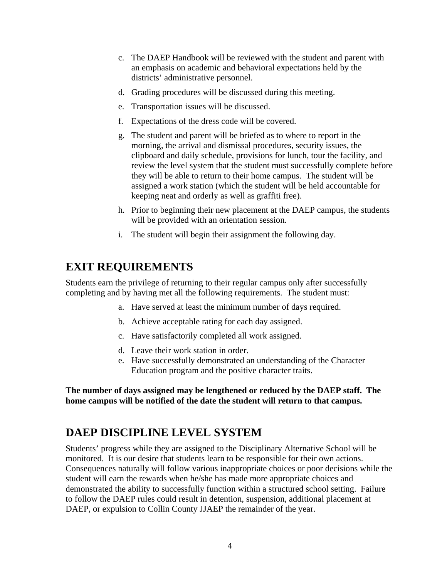- c. The DAEP Handbook will be reviewed with the student and parent with an emphasis on academic and behavioral expectations held by the districts' administrative personnel.
- d. Grading procedures will be discussed during this meeting.
- e. Transportation issues will be discussed.
- f. Expectations of the dress code will be covered.
- g. The student and parent will be briefed as to where to report in the morning, the arrival and dismissal procedures, security issues, the clipboard and daily schedule, provisions for lunch, tour the facility, and review the level system that the student must successfully complete before they will be able to return to their home campus. The student will be assigned a work station (which the student will be held accountable for keeping neat and orderly as well as graffiti free).
- h. Prior to beginning their new placement at the DAEP campus, the students will be provided with an orientation session.
- i. The student will begin their assignment the following day.

### **EXIT REQUIREMENTS**

Students earn the privilege of returning to their regular campus only after successfully completing and by having met all the following requirements. The student must:

- a. Have served at least the minimum number of days required.
- b. Achieve acceptable rating for each day assigned.
- c. Have satisfactorily completed all work assigned.
- d. Leave their work station in order.
- e. Have successfully demonstrated an understanding of the Character Education program and the positive character traits.

**The number of days assigned may be lengthened or reduced by the DAEP staff. The home campus will be notified of the date the student will return to that campus.** 

#### **DAEP DISCIPLINE LEVEL SYSTEM**

Students' progress while they are assigned to the Disciplinary Alternative School will be monitored. It is our desire that students learn to be responsible for their own actions. Consequences naturally will follow various inappropriate choices or poor decisions while the student will earn the rewards when he/she has made more appropriate choices and demonstrated the ability to successfully function within a structured school setting. Failure to follow the DAEP rules could result in detention, suspension, additional placement at DAEP, or expulsion to Collin County JJAEP the remainder of the year.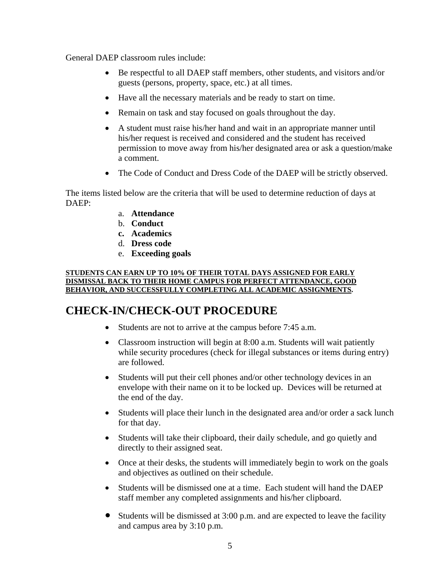General DAEP classroom rules include:

- Be respectful to all DAEP staff members, other students, and visitors and/or guests (persons, property, space, etc.) at all times.
- Have all the necessary materials and be ready to start on time.
- Remain on task and stay focused on goals throughout the day.
- A student must raise his/her hand and wait in an appropriate manner until his/her request is received and considered and the student has received permission to move away from his/her designated area or ask a question/make a comment.
- The Code of Conduct and Dress Code of the DAEP will be strictly observed.

The items listed below are the criteria that will be used to determine reduction of days at DAEP:

- a. **Attendance**
- b. **Conduct**
- **c. Academics**
- d. **Dress code**
- e. **Exceeding goals**

#### **STUDENTS CAN EARN UP TO 10% OF THEIR TOTAL DAYS ASSIGNED FOR EARLY DISMISSAL BACK TO THEIR HOME CAMPUS FOR PERFECT ATTENDANCE, GOOD BEHAVIOR, AND SUCCESSFULLY COMPLETING ALL ACADEMIC ASSIGNMENTS.**

# **CHECK-IN/CHECK-OUT PROCEDURE**

- Students are not to arrive at the campus before 7:45 a.m.
- Classroom instruction will begin at 8:00 a.m. Students will wait patiently while security procedures (check for illegal substances or items during entry) are followed.
- Students will put their cell phones and/or other technology devices in an envelope with their name on it to be locked up. Devices will be returned at the end of the day.
- Students will place their lunch in the designated area and/or order a sack lunch for that day.
- Students will take their clipboard, their daily schedule, and go quietly and directly to their assigned seat.
- Once at their desks, the students will immediately begin to work on the goals and objectives as outlined on their schedule.
- Students will be dismissed one at a time. Each student will hand the DAEP staff member any completed assignments and his/her clipboard.
- Students will be dismissed at 3:00 p.m. and are expected to leave the facility and campus area by 3:10 p.m.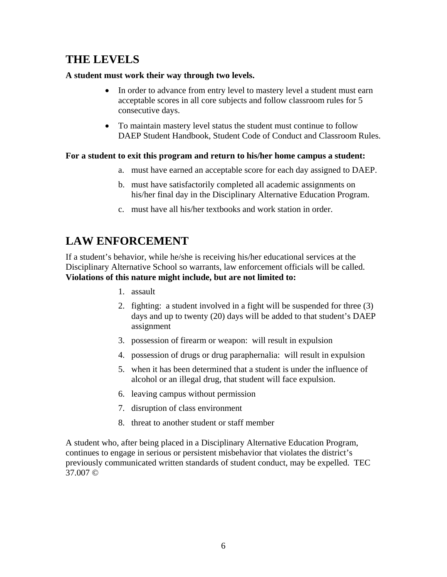### **THE LEVELS**

#### **A student must work their way through two levels.**

- In order to advance from entry level to mastery level a student must earn acceptable scores in all core subjects and follow classroom rules for 5 consecutive days.
- To maintain mastery level status the student must continue to follow DAEP Student Handbook, Student Code of Conduct and Classroom Rules.

#### **For a student to exit this program and return to his/her home campus a student:**

- a. must have earned an acceptable score for each day assigned to DAEP.
- b. must have satisfactorily completed all academic assignments on his/her final day in the Disciplinary Alternative Education Program.
- c. must have all his/her textbooks and work station in order.

# **LAW ENFORCEMENT**

If a student's behavior, while he/she is receiving his/her educational services at the Disciplinary Alternative School so warrants, law enforcement officials will be called. **Violations of this nature might include, but are not limited to:** 

- 1. assault
- 2. fighting: a student involved in a fight will be suspended for three (3) days and up to twenty (20) days will be added to that student's DAEP assignment
- 3. possession of firearm or weapon: will result in expulsion
- 4. possession of drugs or drug paraphernalia: will result in expulsion
- 5. when it has been determined that a student is under the influence of alcohol or an illegal drug, that student will face expulsion.
- 6. leaving campus without permission
- 7. disruption of class environment
- 8. threat to another student or staff member

A student who, after being placed in a Disciplinary Alternative Education Program, continues to engage in serious or persistent misbehavior that violates the district's previously communicated written standards of student conduct, may be expelled. TEC 37.007 ©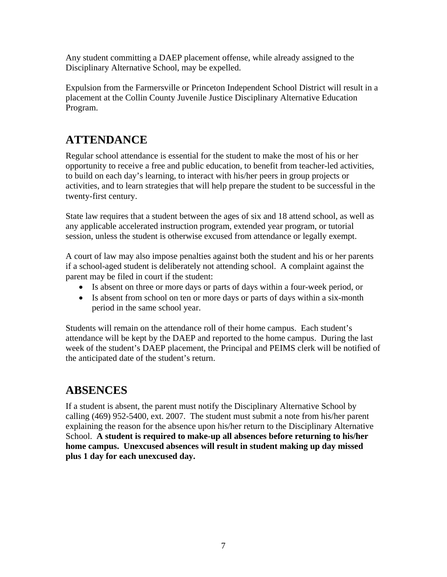Any student committing a DAEP placement offense, while already assigned to the Disciplinary Alternative School, may be expelled.

Expulsion from the Farmersville or Princeton Independent School District will result in a placement at the Collin County Juvenile Justice Disciplinary Alternative Education Program.

# **ATTENDANCE**

Regular school attendance is essential for the student to make the most of his or her opportunity to receive a free and public education, to benefit from teacher-led activities, to build on each day's learning, to interact with his/her peers in group projects or activities, and to learn strategies that will help prepare the student to be successful in the twenty-first century.

State law requires that a student between the ages of six and 18 attend school, as well as any applicable accelerated instruction program, extended year program, or tutorial session, unless the student is otherwise excused from attendance or legally exempt.

A court of law may also impose penalties against both the student and his or her parents if a school-aged student is deliberately not attending school. A complaint against the parent may be filed in court if the student:

- Is absent on three or more days or parts of days within a four-week period, or
- Is absent from school on ten or more days or parts of days within a six-month period in the same school year.

Students will remain on the attendance roll of their home campus. Each student's attendance will be kept by the DAEP and reported to the home campus. During the last week of the student's DAEP placement, the Principal and PEIMS clerk will be notified of the anticipated date of the student's return.

# **ABSENCES**

If a student is absent, the parent must notify the Disciplinary Alternative School by calling (469) 952-5400, ext. 2007. The student must submit a note from his/her parent explaining the reason for the absence upon his/her return to the Disciplinary Alternative School. **A student is required to make-up all absences before returning to his/her home campus. Unexcused absences will result in student making up day missed plus 1 day for each unexcused day.**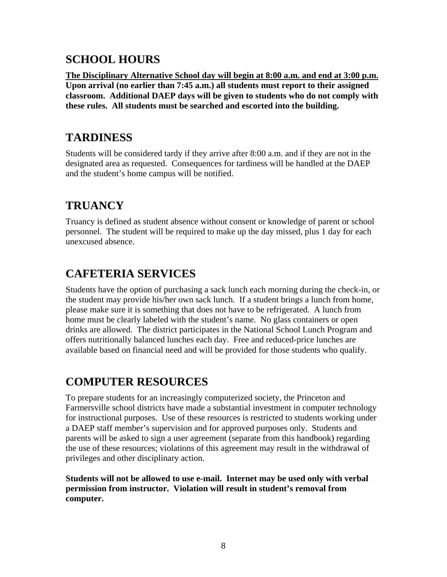# **SCHOOL HOURS**

**The Disciplinary Alternative School day will begin at 8:00 a.m. and end at 3:00 p.m. Upon arrival (no earlier than 7:45 a.m.) all students must report to their assigned classroom. Additional DAEP days will be given to students who do not comply with these rules. All students must be searched and escorted into the building.** 

# **TARDINESS**

Students will be considered tardy if they arrive after 8:00 a.m. and if they are not in the designated area as requested. Consequences for tardiness will be handled at the DAEP and the student's home campus will be notified.

# **TRUANCY**

Truancy is defined as student absence without consent or knowledge of parent or school personnel. The student will be required to make up the day missed, plus 1 day for each unexcused absence.

# **CAFETERIA SERVICES**

Students have the option of purchasing a sack lunch each morning during the check-in, or the student may provide his/her own sack lunch. If a student brings a lunch from home, please make sure it is something that does not have to be refrigerated. A lunch from home must be clearly labeled with the student's name. No glass containers or open drinks are allowed. The district participates in the National School Lunch Program and offers nutritionally balanced lunches each day. Free and reduced-price lunches are available based on financial need and will be provided for those students who qualify.

# **COMPUTER RESOURCES**

To prepare students for an increasingly computerized society, the Princeton and Farmersville school districts have made a substantial investment in computer technology for instructional purposes. Use of these resources is restricted to students working under a DAEP staff member's supervision and for approved purposes only. Students and parents will be asked to sign a user agreement (separate from this handbook) regarding the use of these resources; violations of this agreement may result in the withdrawal of privileges and other disciplinary action.

**Students will not be allowed to use e-mail. Internet may be used only with verbal permission from instructor. Violation will result in student's removal from computer.**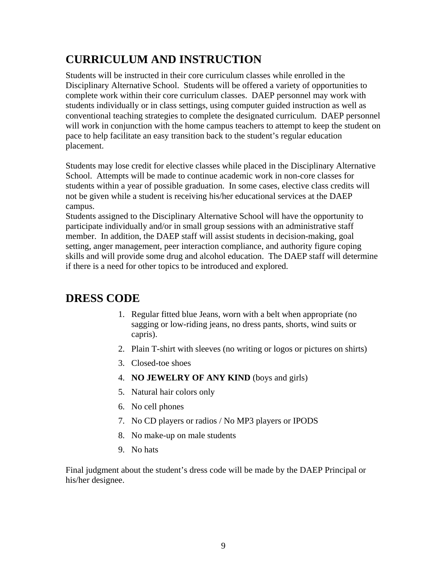# **CURRICULUM AND INSTRUCTION**

Students will be instructed in their core curriculum classes while enrolled in the Disciplinary Alternative School. Students will be offered a variety of opportunities to complete work within their core curriculum classes. DAEP personnel may work with students individually or in class settings, using computer guided instruction as well as conventional teaching strategies to complete the designated curriculum. DAEP personnel will work in conjunction with the home campus teachers to attempt to keep the student on pace to help facilitate an easy transition back to the student's regular education placement.

Students may lose credit for elective classes while placed in the Disciplinary Alternative School. Attempts will be made to continue academic work in non-core classes for students within a year of possible graduation. In some cases, elective class credits will not be given while a student is receiving his/her educational services at the DAEP campus.

Students assigned to the Disciplinary Alternative School will have the opportunity to participate individually and/or in small group sessions with an administrative staff member. In addition, the DAEP staff will assist students in decision-making, goal setting, anger management, peer interaction compliance, and authority figure coping skills and will provide some drug and alcohol education. The DAEP staff will determine if there is a need for other topics to be introduced and explored.

# **DRESS CODE**

- 1. Regular fitted blue Jeans, worn with a belt when appropriate (no sagging or low-riding jeans, no dress pants, shorts, wind suits or capris).
- 2. Plain T-shirt with sleeves (no writing or logos or pictures on shirts)
- 3. Closed-toe shoes
- 4. **NO JEWELRY OF ANY KIND** (boys and girls)
- 5. Natural hair colors only
- 6. No cell phones
- 7. No CD players or radios / No MP3 players or IPODS
- 8. No make-up on male students
- 9. No hats

Final judgment about the student's dress code will be made by the DAEP Principal or his/her designee.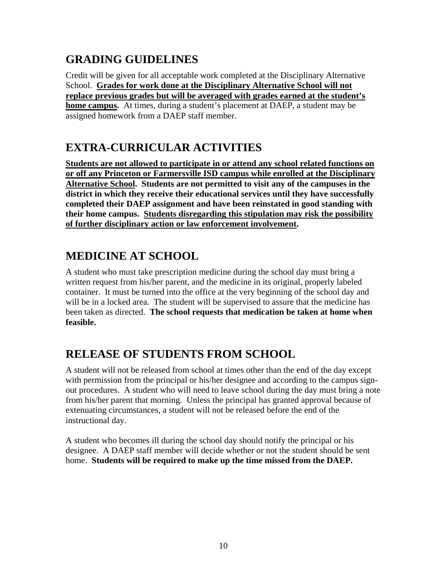# **GRADING GUIDELINES**

Credit will be given for all acceptable work completed at the Disciplinary Alternative School. **Grades for work done at the Disciplinary Alternative School will not replace previous grades but will be averaged with grades earned at the student's home campus.** At times, during a student's placement at DAEP, a student may be assigned homework from a DAEP staff member.

# **EXTRA-CURRICULAR ACTIVITIES**

**Students are not allowed to participate in or attend any school related functions on or off any Princeton or Farmersville ISD campus while enrolled at the Disciplinary Alternative School. Students are not permitted to visit any of the campuses in the district in which they receive their educational services until they have successfully completed their DAEP assignment and have been reinstated in good standing with their home campus. Students disregarding this stipulation may risk the possibility of further disciplinary action or law enforcement involvement.** 

# **MEDICINE AT SCHOOL**

A student who must take prescription medicine during the school day must bring a written request from his/her parent, and the medicine in its original, properly labeled container. It must be turned into the office at the very beginning of the school day and will be in a locked area. The student will be supervised to assure that the medicine has been taken as directed. **The school requests that medication be taken at home when feasible.** 

# **RELEASE OF STUDENTS FROM SCHOOL**

A student will not be released from school at times other than the end of the day except with permission from the principal or his/her designee and according to the campus signout procedures. A student who will need to leave school during the day must bring a note from his/her parent that morning. Unless the principal has granted approval because of extenuating circumstances, a student will not be released before the end of the instructional day.

A student who becomes ill during the school day should notify the principal or his designee. A DAEP staff member will decide whether or not the student should be sent home. **Students will be required to make up the time missed from the DAEP.**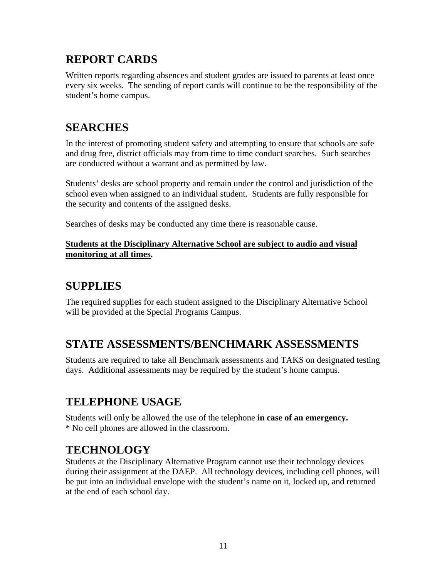# **REPORT CARDS**

Written reports regarding absences and student grades are issued to parents at least once every six weeks. The sending of report cards will continue to be the responsibility of the student's home campus.

### **SEARCHES**

In the interest of promoting student safety and attempting to ensure that schools are safe and drug free, district officials may from time to time conduct searches. Such searches are conducted without a warrant and as permitted by law.

Students' desks are school property and remain under the control and jurisdiction of the school even when assigned to an individual student. Students are fully responsible for the security and contents of the assigned desks.

Searches of desks may be conducted any time there is reasonable cause.

#### **Students at the Disciplinary Alternative School are subject to audio and visual monitoring at all times.**

# **SUPPLIES**

The required supplies for each student assigned to the Disciplinary Alternative School will be provided at the Special Programs Campus.

# **STATE ASSESSMENTS/BENCHMARK ASSESSMENTS**

Students are required to take all Benchmark assessments and TAKS on designated testing days. Additional assessments may be required by the student's home campus.

# **TELEPHONE USAGE**

Students will only be allowed the use of the telephone **in case of an emergency.** \* No cell phones are allowed in the classroom.

# **TECHNOLOGY**

Students at the Disciplinary Alternative Program cannot use their technology devices during their assignment at the DAEP. All technology devices, including cell phones, will be put into an individual envelope with the student's name on it, locked up, and returned at the end of each school day.